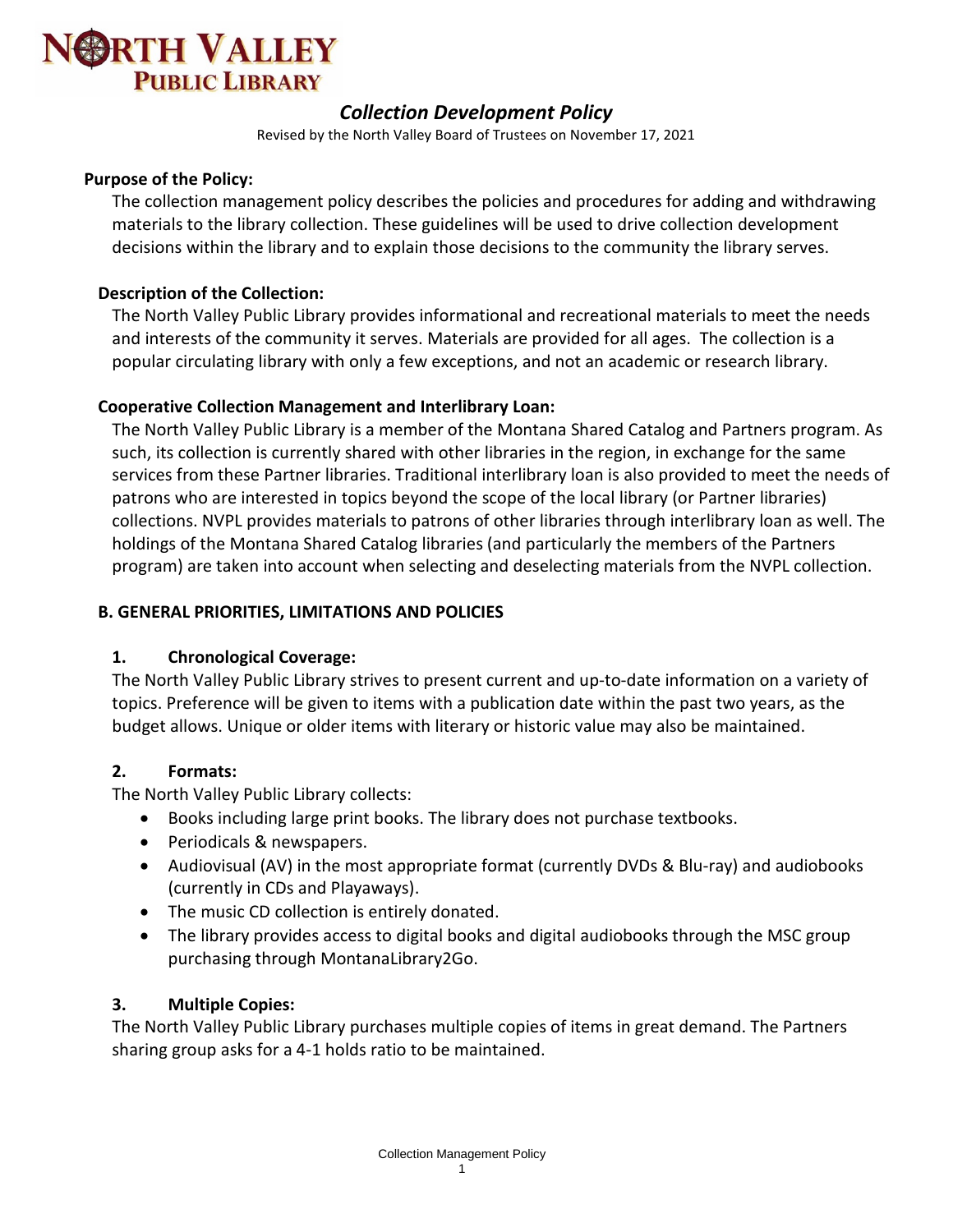

# *Collection Development Policy*

Revised by the North Valley Board of Trustees on November 17, 2021

#### **Purpose of the Policy:**

The collection management policy describes the policies and procedures for adding and withdrawing materials to the library collection. These guidelines will be used to drive collection development decisions within the library and to explain those decisions to the community the library serves.

#### **Description of the Collection:**

The North Valley Public Library provides informational and recreational materials to meet the needs and interests of the community it serves. Materials are provided for all ages. The collection is a popular circulating library with only a few exceptions, and not an academic or research library.

#### **Cooperative Collection Management and Interlibrary Loan:**

The North Valley Public Library is a member of the Montana Shared Catalog and Partners program. As such, its collection is currently shared with other libraries in the region, in exchange for the same services from these Partner libraries. Traditional interlibrary loan is also provided to meet the needs of patrons who are interested in topics beyond the scope of the local library (or Partner libraries) collections. NVPL provides materials to patrons of other libraries through interlibrary loan as well. The holdings of the Montana Shared Catalog libraries (and particularly the members of the Partners program) are taken into account when selecting and deselecting materials from the NVPL collection.

#### **B. GENERAL PRIORITIES, LIMITATIONS AND POLICIES**

#### **1. Chronological Coverage:**

The North Valley Public Library strives to present current and up-to-date information on a variety of topics. Preference will be given to items with a publication date within the past two years, as the budget allows. Unique or older items with literary or historic value may also be maintained.

### **2. Formats:**

The North Valley Public Library collects:

- Books including large print books. The library does not purchase textbooks.
- Periodicals & newspapers.
- Audiovisual (AV) in the most appropriate format (currently DVDs & Blu-ray) and audiobooks (currently in CDs and Playaways).
- The music CD collection is entirely donated.
- The library provides access to digital books and digital audiobooks through the MSC group purchasing through MontanaLibrary2Go.

### **3. Multiple Copies:**

The North Valley Public Library purchases multiple copies of items in great demand. The Partners sharing group asks for a 4-1 holds ratio to be maintained.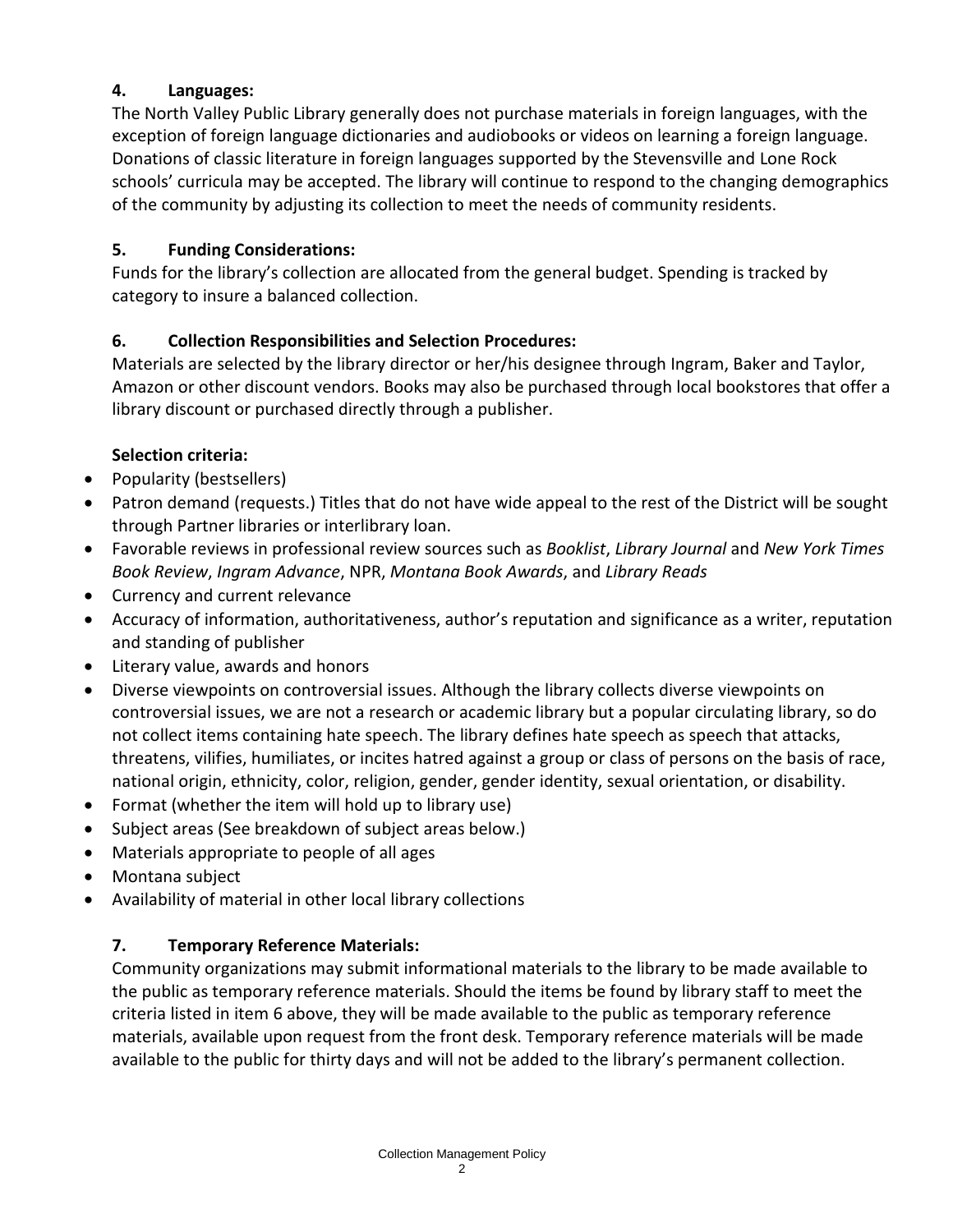### **4. Languages:**

The North Valley Public Library generally does not purchase materials in foreign languages, with the exception of foreign language dictionaries and audiobooks or videos on learning a foreign language. Donations of classic literature in foreign languages supported by the Stevensville and Lone Rock schools' curricula may be accepted. The library will continue to respond to the changing demographics of the community by adjusting its collection to meet the needs of community residents.

### **5. Funding Considerations:**

Funds for the library's collection are allocated from the general budget. Spending is tracked by category to insure a balanced collection.

## **6. Collection Responsibilities and Selection Procedures:**

Materials are selected by the library director or her/his designee through Ingram, Baker and Taylor, Amazon or other discount vendors. Books may also be purchased through local bookstores that offer a library discount or purchased directly through a publisher.

### **Selection criteria:**

- Popularity (bestsellers)
- Patron demand (requests.) Titles that do not have wide appeal to the rest of the District will be sought through Partner libraries or interlibrary loan.
- Favorable reviews in professional review sources such as *Booklist*, *Library Journal* and *New York Times Book Review*, *Ingram Advance*, NPR, *Montana Book Awards*, and *Library Reads*
- Currency and current relevance
- Accuracy of information, authoritativeness, author's reputation and significance as a writer, reputation and standing of publisher
- Literary value, awards and honors
- Diverse viewpoints on controversial issues. Although the library collects diverse viewpoints on controversial issues, we are not a research or academic library but a popular circulating library, so do not collect items containing hate speech. The library defines hate speech as speech that attacks, threatens, vilifies, humiliates, or incites hatred against a group or class of persons on the basis of race, national origin, ethnicity, color, religion, gender, gender identity, sexual orientation, or disability.
- Format (whether the item will hold up to library use)
- Subject areas (See breakdown of subject areas below.)
- Materials appropriate to people of all ages
- Montana subject
- Availability of material in other local library collections

## **7. Temporary Reference Materials:**

Community organizations may submit informational materials to the library to be made available to the public as temporary reference materials. Should the items be found by library staff to meet the criteria listed in item 6 above, they will be made available to the public as temporary reference materials, available upon request from the front desk. Temporary reference materials will be made available to the public for thirty days and will not be added to the library's permanent collection.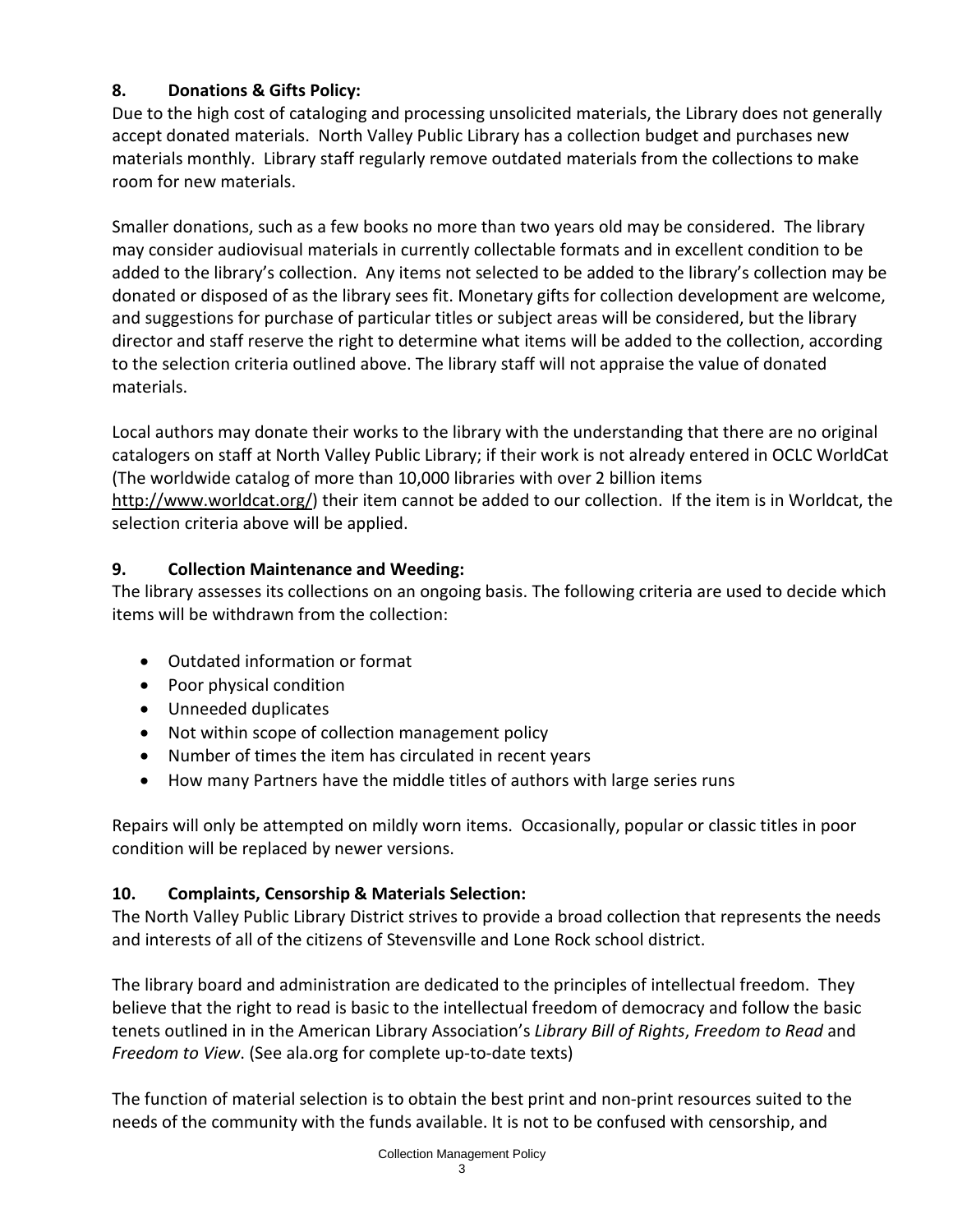## **8. Donations & Gifts Policy:**

Due to the high cost of cataloging and processing unsolicited materials, the Library does not generally accept donated materials. North Valley Public Library has a collection budget and purchases new materials monthly. Library staff regularly remove outdated materials from the collections to make room for new materials.

Smaller donations, such as a few books no more than two years old may be considered. The library may consider audiovisual materials in currently collectable formats and in excellent condition to be added to the library's collection. Any items not selected to be added to the library's collection may be donated or disposed of as the library sees fit. Monetary gifts for collection development are welcome, and suggestions for purchase of particular titles or subject areas will be considered, but the library director and staff reserve the right to determine what items will be added to the collection, according to the selection criteria outlined above. The library staff will not appraise the value of donated materials.

Local authors may donate their works to the library with the understanding that there are no original catalogers on staff at North Valley Public Library; if their work is not already entered in OCLC WorldCat (The worldwide catalog of more than 10,000 libraries with over 2 billion items [http://www.worldcat.org/\)](http://www.worldcat.org/) their item cannot be added to our collection. If the item is in Worldcat, the selection criteria above will be applied.

## **9. Collection Maintenance and Weeding:**

The library assesses its collections on an ongoing basis. The following criteria are used to decide which items will be withdrawn from the collection:

- Outdated information or format
- Poor physical condition
- Unneeded duplicates
- Not within scope of collection management policy
- Number of times the item has circulated in recent years
- How many Partners have the middle titles of authors with large series runs

Repairs will only be attempted on mildly worn items. Occasionally, popular or classic titles in poor condition will be replaced by newer versions.

## **10. Complaints, Censorship & Materials Selection:**

The North Valley Public Library District strives to provide a broad collection that represents the needs and interests of all of the citizens of Stevensville and Lone Rock school district.

The library board and administration are dedicated to the principles of intellectual freedom. They believe that the right to read is basic to the intellectual freedom of democracy and follow the basic tenets outlined in in the American Library Association's *Library Bill of Rights*, *Freedom to Read* and *Freedom to View*. (See ala.org for complete up-to-date texts)

The function of material selection is to obtain the best print and non-print resources suited to the needs of the community with the funds available. It is not to be confused with censorship, and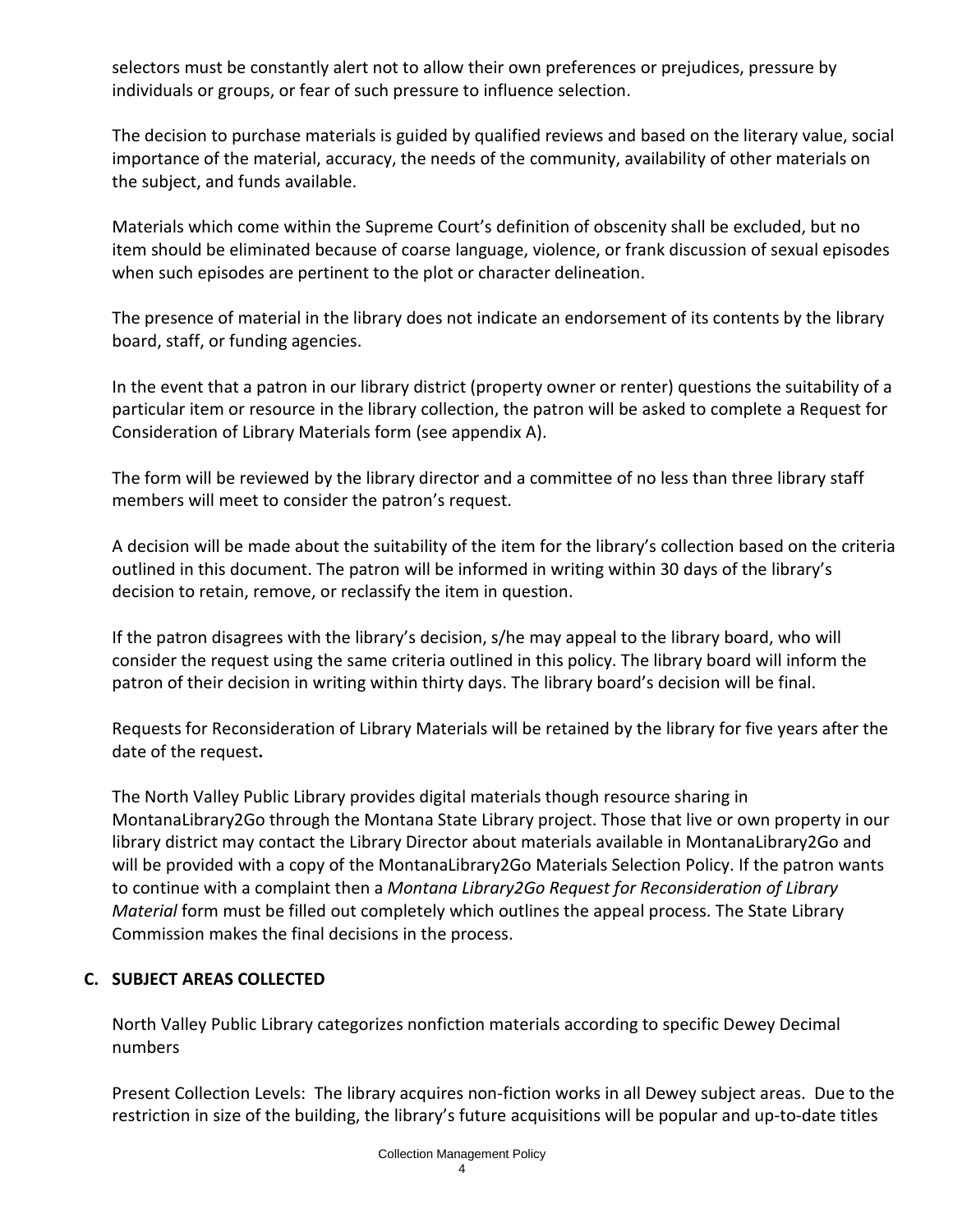selectors must be constantly alert not to allow their own preferences or prejudices, pressure by individuals or groups, or fear of such pressure to influence selection.

The decision to purchase materials is guided by qualified reviews and based on the literary value, social importance of the material, accuracy, the needs of the community, availability of other materials on the subject, and funds available.

Materials which come within the Supreme Court's definition of obscenity shall be excluded, but no item should be eliminated because of coarse language, violence, or frank discussion of sexual episodes when such episodes are pertinent to the plot or character delineation.

The presence of material in the library does not indicate an endorsement of its contents by the library board, staff, or funding agencies.

In the event that a patron in our library district (property owner or renter) questions the suitability of a particular item or resource in the library collection, the patron will be asked to complete a Request for Consideration of Library Materials form (see appendix A).

The form will be reviewed by the library director and a committee of no less than three library staff members will meet to consider the patron's request.

A decision will be made about the suitability of the item for the library's collection based on the criteria outlined in this document. The patron will be informed in writing within 30 days of the library's decision to retain, remove, or reclassify the item in question.

If the patron disagrees with the library's decision, s/he may appeal to the library board, who will consider the request using the same criteria outlined in this policy. The library board will inform the patron of their decision in writing within thirty days. The library board's decision will be final.

Requests for Reconsideration of Library Materials will be retained by the library for five years after the date of the request**.**

The North Valley Public Library provides digital materials though resource sharing in MontanaLibrary2Go through the Montana State Library project. Those that live or own property in our library district may contact the Library Director about materials available in MontanaLibrary2Go and will be provided with a copy of the MontanaLibrary2Go Materials Selection Policy. If the patron wants to continue with a complaint then a *Montana Library2Go Request for Reconsideration of Library Material* form must be filled out completely which outlines the appeal process. The State Library Commission makes the final decisions in the process.

### **C. SUBJECT AREAS COLLECTED**

North Valley Public Library categorizes nonfiction materials according to specific Dewey Decimal numbers

Present Collection Levels: The library acquires non-fiction works in all Dewey subject areas. Due to the restriction in size of the building, the library's future acquisitions will be popular and up-to-date titles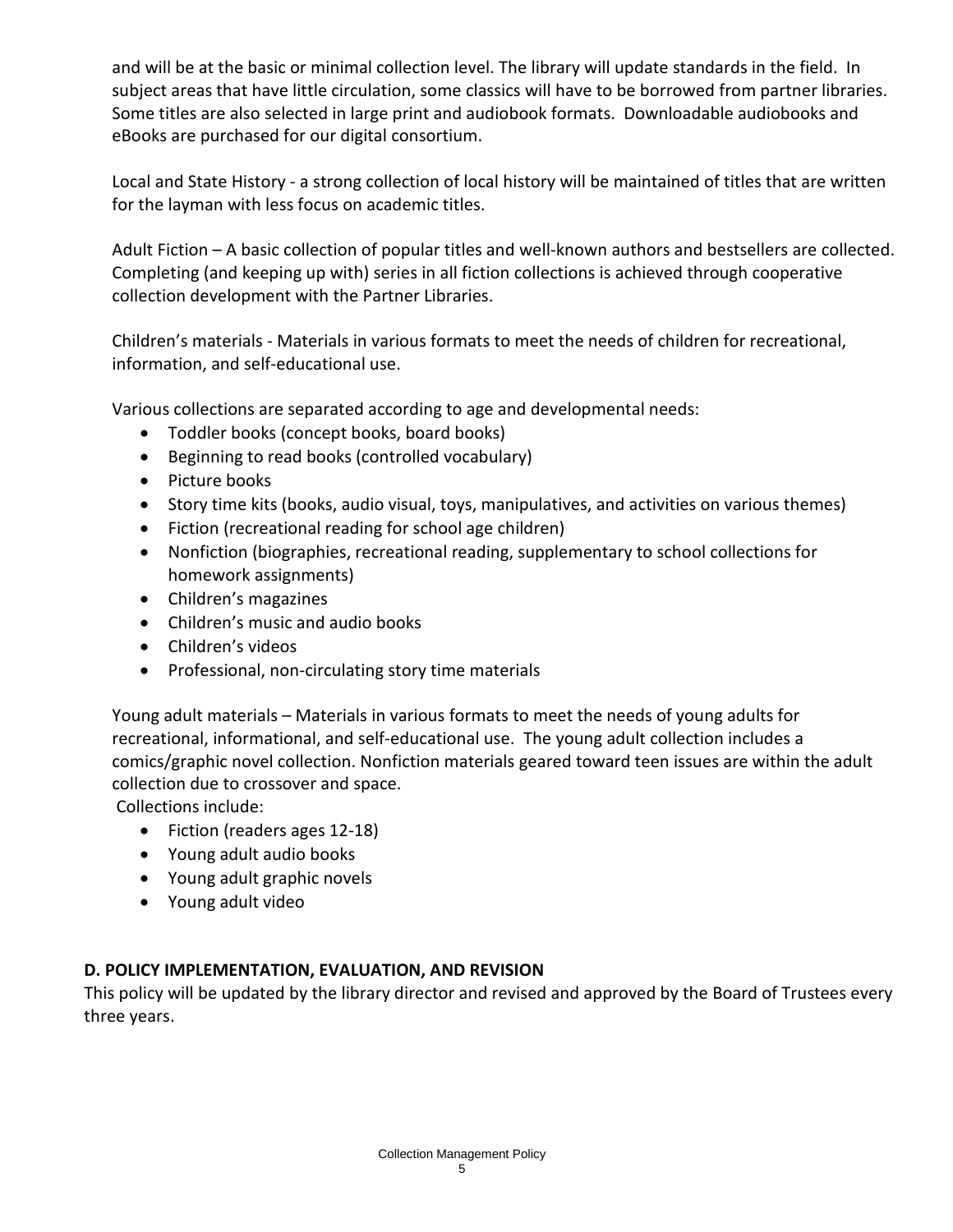and will be at the basic or minimal collection level. The library will update standards in the field. In subject areas that have little circulation, some classics will have to be borrowed from partner libraries. Some titles are also selected in large print and audiobook formats. Downloadable audiobooks and eBooks are purchased for our digital consortium.

Local and State History - a strong collection of local history will be maintained of titles that are written for the layman with less focus on academic titles.

Adult Fiction – A basic collection of popular titles and well-known authors and bestsellers are collected. Completing (and keeping up with) series in all fiction collections is achieved through cooperative collection development with the Partner Libraries.

Children's materials - Materials in various formats to meet the needs of children for recreational, information, and self-educational use.

Various collections are separated according to age and developmental needs:

- Toddler books (concept books, board books)
- Beginning to read books (controlled vocabulary)
- Picture books
- Story time kits (books, audio visual, toys, manipulatives, and activities on various themes)
- Fiction (recreational reading for school age children)
- Nonfiction (biographies, recreational reading, supplementary to school collections for homework assignments)
- Children's magazines
- Children's music and audio books
- Children's videos
- Professional, non-circulating story time materials

Young adult materials – Materials in various formats to meet the needs of young adults for recreational, informational, and self-educational use. The young adult collection includes a comics/graphic novel collection. Nonfiction materials geared toward teen issues are within the adult collection due to crossover and space.

Collections include:

- Fiction (readers ages 12-18)
- Young adult audio books
- Young adult graphic novels
- Young adult video

### **D. POLICY IMPLEMENTATION, EVALUATION, AND REVISION**

This policy will be updated by the library director and revised and approved by the Board of Trustees every three years.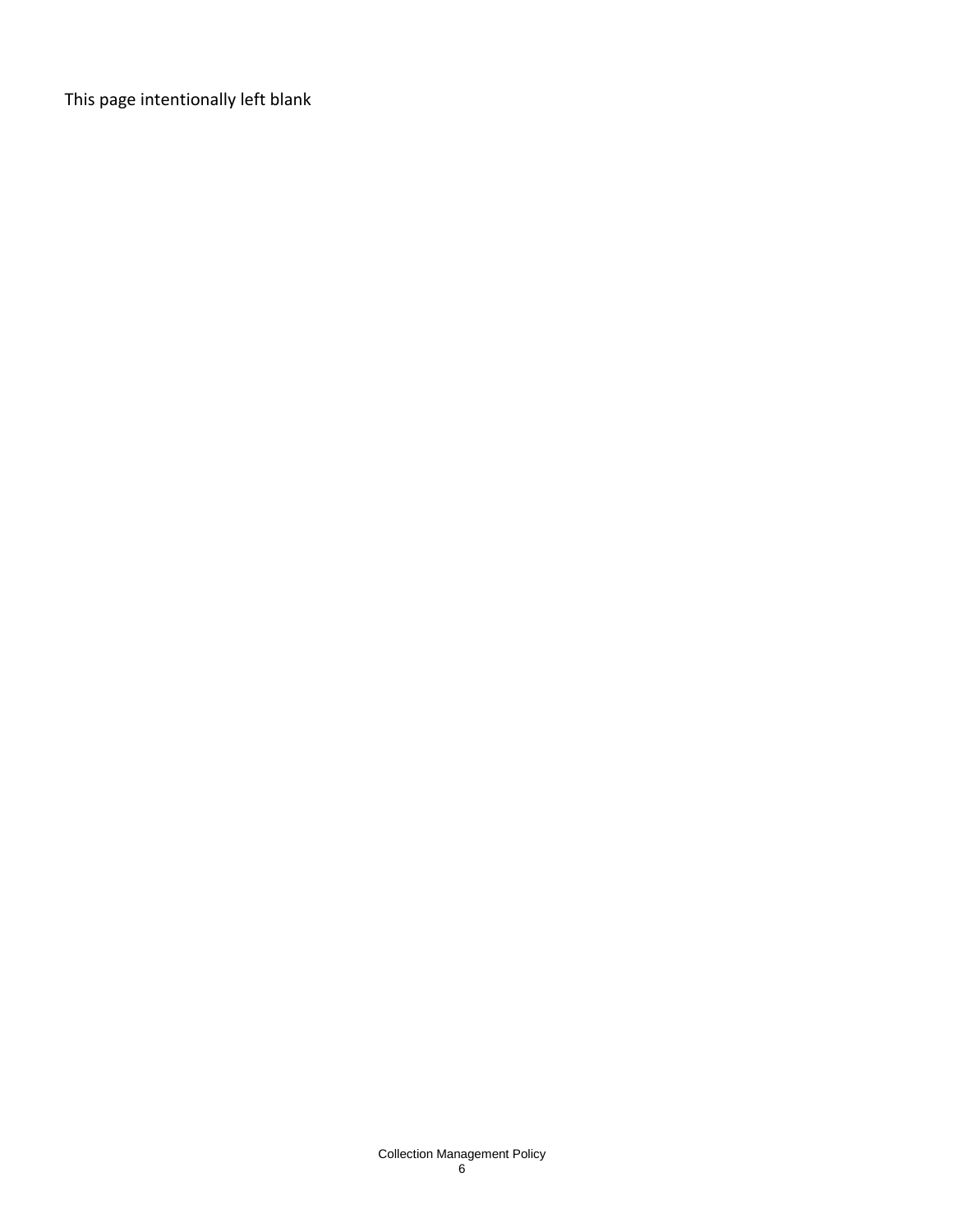This page intentionally left blank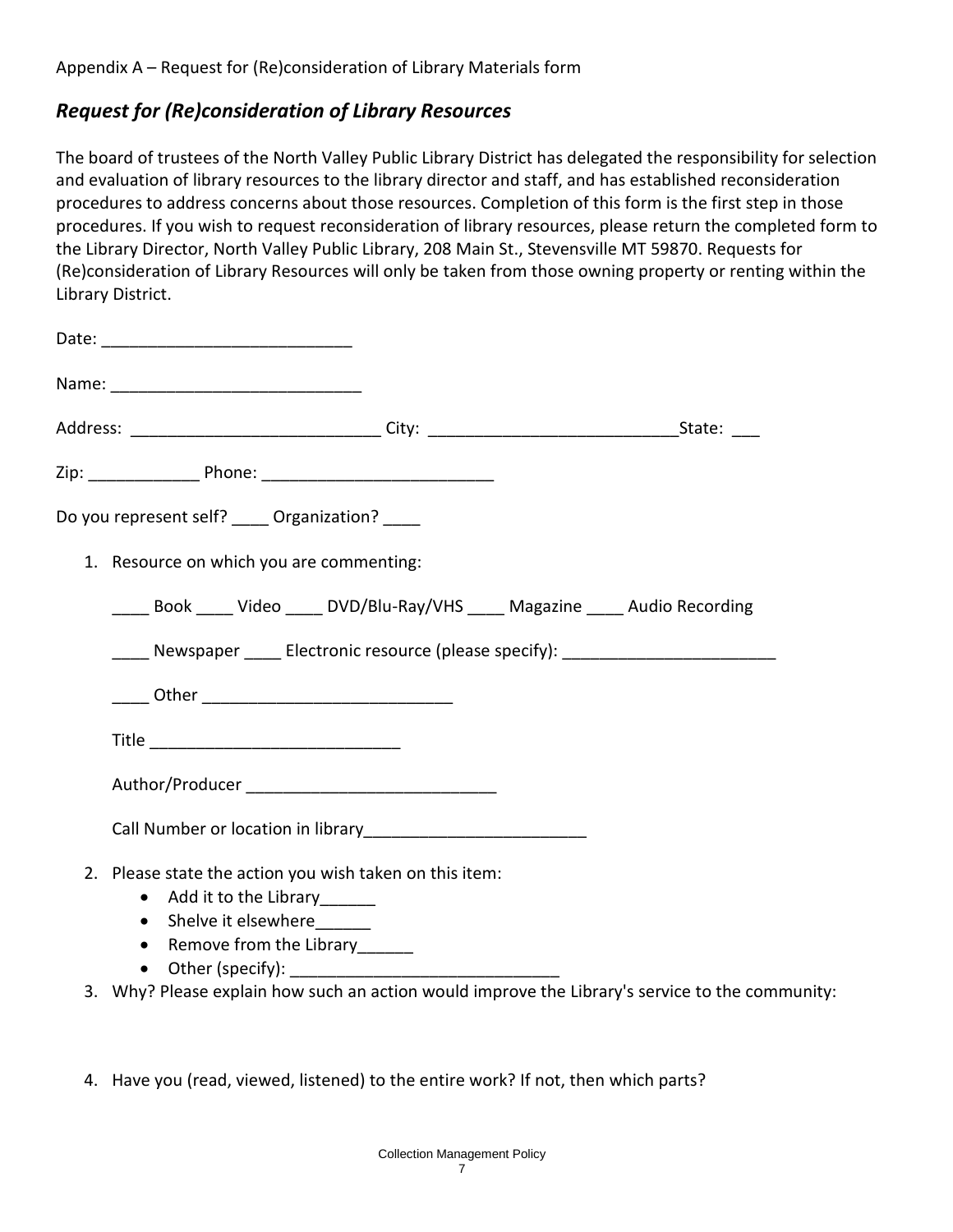Appendix A – Request for (Re)consideration of Library Materials form

# *Request for (Re)consideration of Library Resources*

The board of trustees of the North Valley Public Library District has delegated the responsibility for selection and evaluation of library resources to the library director and staff, and has established reconsideration procedures to address concerns about those resources. Completion of this form is the first step in those procedures. If you wish to request reconsideration of library resources, please return the completed form to the Library Director, North Valley Public Library, 208 Main St., Stevensville MT 59870. Requests for (Re)consideration of Library Resources will only be taken from those owning property or renting within the Library District.

| Do you represent self? _____ Organization? ____                                                                                                                        |  |  |
|------------------------------------------------------------------------------------------------------------------------------------------------------------------------|--|--|
| 1. Resource on which you are commenting:                                                                                                                               |  |  |
| ____ Book ____ Video ____ DVD/Blu-Ray/VHS ____ Magazine ____ Audio Recording                                                                                           |  |  |
| _____ Newspaper _____ Electronic resource (please specify): _____________________                                                                                      |  |  |
|                                                                                                                                                                        |  |  |
|                                                                                                                                                                        |  |  |
| Author/Producer ________________________________                                                                                                                       |  |  |
|                                                                                                                                                                        |  |  |
| 2. Please state the action you wish taken on this item:<br>• Add it to the Library______<br>• Shelve it elsewhere______<br>Remove from the Library_______<br>$\bullet$ |  |  |
| Other (specify):<br>$\bullet$                                                                                                                                          |  |  |

3. Why? Please explain how such an action would improve the Library's service to the community:

4. Have you (read, viewed, listened) to the entire work? If not, then which parts?